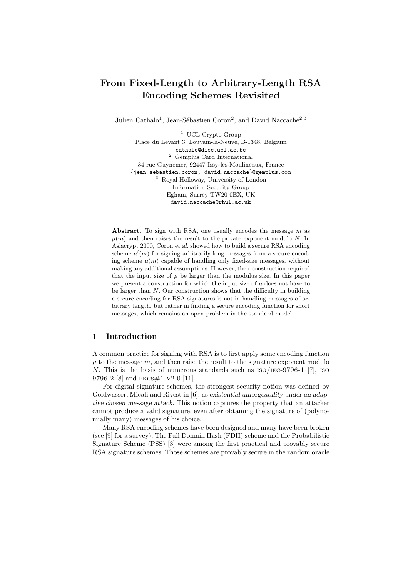# From Fixed-Length to Arbitrary-Length RSA Encoding Schemes Revisited

Julien Cathalo<sup>1</sup>, Jean-Sébastien Coron<sup>2</sup>, and David Naccache<sup>2,3</sup>

<sup>1</sup> UCL Crypto Group Place du Levant 3, Louvain-la-Neuve, B-1348, Belgium cathalo@dice.ucl.ac.be  $^{\rm 2}$  Gemplus Card International 34 rue Guynemer, 92447 Issy-les-Moulineaux, France {jean-sebastien.coron, david.naccache}@gemplus.com <sup>3</sup> Royal Holloway, University of London Information Security Group Egham, Surrey TW20 0EX, UK david.naccache@rhul.ac.uk

Abstract. To sign with RSA, one usually encodes the message  $m$  as  $\mu(m)$  and then raises the result to the private exponent modulo N. In Asiacrypt 2000, Coron et al. showed how to build a secure RSA encoding scheme  $\mu'(m)$  for signing arbitrarily long messages from a secure encoding scheme  $\mu(m)$  capable of handling only fixed-size messages, without making any additional assumptions. However, their construction required that the input size of  $\mu$  be larger than the modulus size. In this paper we present a construction for which the input size of  $\mu$  does not have to be larger than N. Our construction shows that the difficulty in building a secure encoding for RSA signatures is not in handling messages of arbitrary length, but rather in finding a secure encoding function for short messages, which remains an open problem in the standard model.

## 1 Introduction

A common practice for signing with RSA is to first apply some encoding function  $\mu$  to the message  $m$ , and then raise the result to the signature exponent modulo N. This is the basis of numerous standards such as  $ISO/IEC-9796-1$  [7], iso 9796-2 [8] and pkcs#1 v2.0 [11].

For digital signature schemes, the strongest security notion was defined by Goldwasser, Micali and Rivest in [6], as existential unforgeability under an adaptive chosen message attack. This notion captures the property that an attacker cannot produce a valid signature, even after obtaining the signature of (polynomially many) messages of his choice.

Many RSA encoding schemes have been designed and many have been broken (see [9] for a survey). The Full Domain Hash (FDH) scheme and the Probabilistic Signature Scheme (PSS) [3] were among the first practical and provably secure RSA signature schemes. Those schemes are provably secure in the random oracle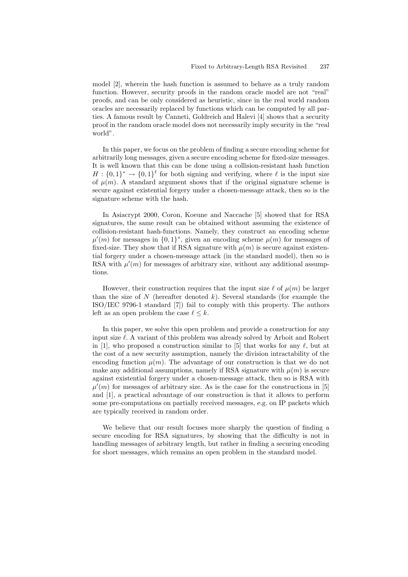model [2], wherein the hash function is assumed to behave as a truly random function. However, security proofs in the random oracle model are not "real" proofs, and can be only considered as heuristic, since in the real world random oracles are necessarily replaced by functions which can be computed by all parties. A famous result by Canneti, Goldreich and Halevi [4] shows that a security proof in the random oracle model does not necessarily imply security in the "real world".

In this paper, we focus on the problem of finding a secure encoding scheme for arbitrarily long messages, given a secure encoding scheme for fixed-size messages. It is well known that this can be done using a collision-resistant hash function  $H: \{0,1\}^* \to \{0,1\}^{\ell}$  for both signing and verifying, where  $\ell$  is the input size of  $\mu(m)$ . A standard argument shows that if the original signature scheme is secure against existential forgery under a chosen-message attack, then so is the signature scheme with the hash.

In Asiacrypt 2000, Coron, Koeune and Naccache [5] showed that for RSA signatures, the same result can be obtained without assuming the existence of collision-resistant hash-functions. Namely, they construct an encoding scheme  $\mu'(m)$  for messages in  $\{0,1\}^*$ , given an encoding scheme  $\mu(m)$  for messages of fixed-size. They show that if RSA signature with  $\mu(m)$  is secure against existential forgery under a chosen-message attack (in the standard model), then so is RSA with  $\mu'(m)$  for messages of arbitrary size, without any additional assumptions.

However, their construction requires that the input size  $\ell$  of  $\mu(m)$  be larger than the size of  $N$  (hereafter denoted  $k$ ). Several standards (for example the ISO/IEC 9796-1 standard [7]) fail to comply with this property. The authors left as an open problem the case  $\ell \leq k$ .

In this paper, we solve this open problem and provide a construction for any input size  $\ell$ . A variant of this problem was already solved by Arboit and Robert in [1], who proposed a construction similar to [5] that works for any  $\ell$ , but at the cost of a new security assumption, namely the division intractability of the encoding function  $\mu(m)$ . The advantage of our construction is that we do not make any additional assumptions, namely if RSA signature with  $\mu(m)$  is secure against existential forgery under a chosen-message attack, then so is RSA with  $\mu'(m)$  for messages of arbitrary size. As is the case for the constructions in [5] and [1], a practical advantage of our construction is that it allows to perform some pre-computations on partially received messages, e.g. on IP packets which are typically received in random order.

We believe that our result focuses more sharply the question of finding a secure encoding for RSA signatures, by showing that the difficulty is not in handling messages of arbitrary length, but rather in finding a securing encoding for short messages, which remains an open problem in the standard model.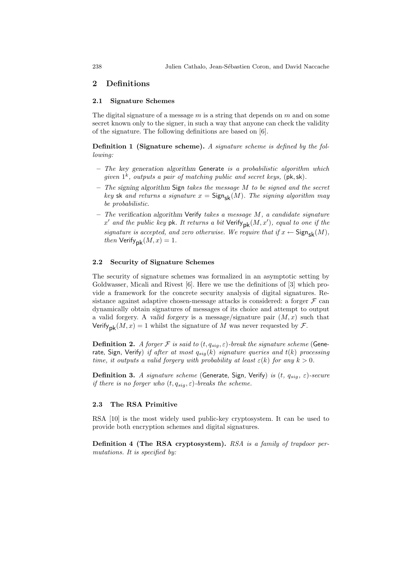# 2 Definitions

#### 2.1 Signature Schemes

The digital signature of a message  $m$  is a string that depends on  $m$  and on some secret known only to the signer, in such a way that anyone can check the validity of the signature. The following definitions are based on [6].

Definition 1 (Signature scheme). A signature scheme is defined by the following:

- $-$  The key generation algorithm Generate is a probabilistic algorithm which given  $1^k$ , outputs a pair of matching public and secret keys, (pk, sk).
- $-$  The signing algorithm Sign takes the message  $M$  to be signed and the secret key sk and returns a signature  $x = \text{Sign}_{\text{sk}}(M)$ . The signing algorithm may be probabilistic.
- $-$  The verification algorithm Verify takes a message M, a candidate signature  $x'$  and the public key  $\operatorname{\sf pk}.$  It returns a bit  $\operatorname{\sf Verify}_{\sf pk}(M,x'),$  equal to one if the signature is accepted, and zero otherwise. We require that if  $x \leftarrow$  Sign<sub>sk</sub> $(M)$ , then  $Verify_{\mathsf{pk}}(M, x) = 1.$

#### 2.2 Security of Signature Schemes

The security of signature schemes was formalized in an asymptotic setting by Goldwasser, Micali and Rivest [6]. Here we use the definitions of [3] which provide a framework for the concrete security analysis of digital signatures. Resistance against adaptive chosen-message attacks is considered: a forger  $\mathcal F$  can dynamically obtain signatures of messages of its choice and attempt to output a valid forgery. A valid forgery is a message/signature pair  $(M, x)$  such that Verify<sub>nk</sub> $(M, x) = 1$  whilst the signature of M was never requested by F.

**Definition 2.** A forger F is said to  $(t, q_{sig}, \varepsilon)$ -break the signature scheme (Generate, Sign, Verify) if after at most  $q_{sig}(k)$  signature queries and  $t(k)$  processing time, it outputs a valid forgery with probability at least  $\varepsilon(k)$  for any  $k > 0$ .

**Definition 3.** A signature scheme (Generate, Sign, Verify) is  $(t, q_{sig}, \varepsilon)$ -secure if there is no forger who  $(t, q_{sig}, \varepsilon)$ -breaks the scheme.

#### 2.3 The RSA Primitive

RSA [10] is the most widely used public-key cryptosystem. It can be used to provide both encryption schemes and digital signatures.

Definition 4 (The RSA cryptosystem). RSA is a family of trapdoor permutations. It is specified by: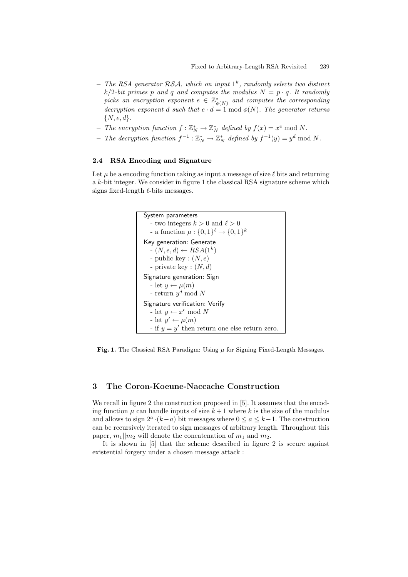- The RSA generator RSA, which on input  $1^k$ , randomly selects two distinct  $k/2$ -bit primes p and q and computes the modulus  $N = p \cdot q$ . It randomly picks an encryption exponent  $e \in \mathbb{Z}_{\phi(N)}^*$  and computes the corresponding decryption exponent d such that  $e \cdot d = 1 \bmod \phi(N)$ . The generator returns  $\{N, e, d\}.$
- The encryption function  $f: \mathbb{Z}_N^* \to \mathbb{Z}_N^*$  defined by  $f(x) = x^e \mod N$ .
- The decryption function  $f^{-1}: \mathbb{Z}_N^* \to \mathbb{Z}_N^*$  defined by  $f^{-1}(y) = y^d \bmod N$ .

## 2.4 RSA Encoding and Signature

Let  $\mu$  be a encoding function taking as input a message of size  $\ell$  bits and returning a k-bit integer. We consider in figure 1 the classical RSA signature scheme which signs fixed-length  $\ell$ -bits messages.



**Fig. 1.** The Classical RSA Paradigm: Using  $\mu$  for Signing Fixed-Length Messages.

# 3 The Coron-Koeune-Naccache Construction

We recall in figure 2 the construction proposed in [5]. It assumes that the encoding function  $\mu$  can handle inputs of size  $k+1$  where k is the size of the modulus and allows to sign  $2^a \cdot (k-a)$  bit messages where  $0 \le a \le k-1$ . The construction can be recursively iterated to sign messages of arbitrary length. Throughout this paper,  $m_1||m_2$  will denote the concatenation of  $m_1$  and  $m_2$ .

It is shown in [5] that the scheme described in figure 2 is secure against existential forgery under a chosen message attack :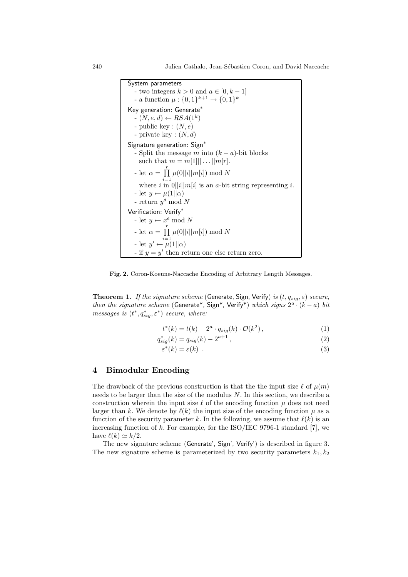240 Julien Cathalo, Jean-S´ebastien Coron, and David Naccache

System parameters - two integers  $k > 0$  and  $a \in [0, k-1]$ - a function  $\mu: \{0,1\}^{k+1} \to \{0,1\}^k$ Key generation: Generate<sup>\*</sup>  $- (N, e, d) \leftarrow RSA(1^k)$ - public key :  $(N, e)$ - private key :  $(N, d)$ Signature generation: Sign<sup>∗</sup> - Split the message m into  $(k - a)$ -bit blocks such that  $m = m[1] || ... || m[r]$ . - let  $\alpha = \prod^r$  $i=1$  $\mu(0||i||m[i]) \bmod N$ where i in  $0||i||m[i]$  is an a-bit string representing i. - let  $y \leftarrow \mu(1||\alpha)$ - return  $y^d \mod N$ Verification: Verify<sup>∗</sup> - let  $y \leftarrow x^e \mod N$ - let  $\alpha = \prod^{r}$  $i=1$  $\mu(0||i||m[i]) \bmod N$ - let  $y' \leftarrow \mu(1||\alpha)$ - if  $y = y'$  then return one else return zero.

Fig. 2. Coron-Koeune-Naccache Encoding of Arbitrary Length Messages.

**Theorem 1.** If the signature scheme (Generate, Sign, Verify) is  $(t, q_{sig}, \varepsilon)$  secure, then the signature scheme (Generate\*, Sign\*, Verify\*) which signs  $2^a \cdot (k-a)$  bit messages is  $(t^*, q^*_{sig}, \varepsilon^*)$  secure, where:

$$
t^*(k) = t(k) - 2^a \cdot q_{sig}(k) \cdot \mathcal{O}(k^2), \qquad (1)
$$

$$
q_{sig}^*(k) = q_{sig}(k) - 2^{a+1},\tag{2}
$$

$$
\varepsilon^*(k) = \varepsilon(k) \tag{3}
$$

# 4 Bimodular Encoding

The drawback of the previous construction is that the the input size  $\ell$  of  $\mu(m)$ needs to be larger than the size of the modulus  $N$ . In this section, we describe a construction wherein the input size  $\ell$  of the encoding function  $\mu$  does not need larger than k. We denote by  $\ell(k)$  the input size of the encoding function  $\mu$  as a function of the security parameter k. In the following, we assume that  $\ell(k)$  is an increasing function of  $k$ . For example, for the ISO/IEC 9796-1 standard [7], we have  $\ell(k) \simeq k/2$ .

The new signature scheme (Generate', Sign', Verify') is described in figure 3. The new signature scheme is parameterized by two security parameters  $k_1, k_2$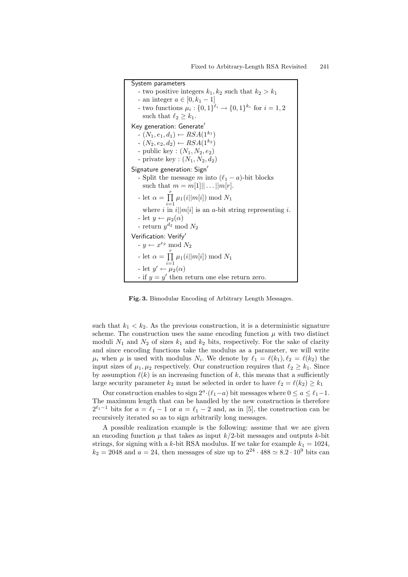System parameters - two positive integers  $k_1, k_2$  such that  $k_2 > k_1$ - an integer  $a \in [0, k_1 - 1]$ - two functions  $\mu_i : \{0,1\}^{\ell_i} \to \{0,1\}^{k_i}$  for  $i = 1, 2$ such that  $\ell_2 \geq k_1$ . Key generation: Generate'  $-(N_1, e_1, d_1) \leftarrow RSA(1^{k_1})$  $-(N_2, e_2, d_2) \leftarrow RSA(1^{k_2})$ - public key :  $(N_1, N_2, e_2)$ - private key :  $(N_1, N_2, d_2)$ Signature generation: Sign' - Split the message m into  $(\ell_1 - a)$ -bit blocks such that  $m = m[1] || ... || m[r]$ . - let  $\alpha = \prod^r$  $\prod_{i=1} \mu_1(i||m[i]) \bmod N_1$ where i in  $i||m[i]$  is an a-bit string representing i. - let  $y \leftarrow \mu_2(\alpha)$ - return  $y^{d_2}$  mod  $N_2$ Verification: Verify' -  $y \leftarrow x^{e_2} \mod N_2$ - let  $\alpha = \prod^r$  $\prod_{i=1} \mu_1(i||m[i]) \bmod N_1$ - let  $y' \leftarrow \mu_2(\alpha)$ - if  $y = y'$  then return one else return zero.

Fig. 3. Bimodular Encoding of Arbitrary Length Messages.

such that  $k_1 < k_2$ . As the previous construction, it is a deterministic signature scheme. The construction uses the same encoding function  $\mu$  with two distinct moduli  $N_1$  and  $N_2$  of sizes  $k_1$  and  $k_2$  bits, respectively. For the sake of clarity and since encoding functions take the modulus as a parameter, we will write  $\mu_i$  when  $\mu$  is used with modulus  $N_i$ . We denote by  $\ell_1 = \ell(k_1), \ell_2 = \ell(k_2)$  the input sizes of  $\mu_1, \mu_2$  respectively. Our construction requires that  $\ell_2 \geq k_1$ . Since by assumption  $\ell(k)$  is an increasing function of k, this means that a sufficiently large security parameter  $k_2$  must be selected in order to have  $\ell_2 = \ell(k_2) \geq k_1$ 

Our construction enables to sign  $2^a \cdot (\ell_1 - a)$  bit messages where  $0 \le a \le \ell_1 - 1$ . The maximum length that can be handled by the new construction is therefore  $2^{\ell_1-1}$  bits for  $a = \ell_1 - 1$  or  $a = \ell_1 - 2$  and, as in [5], the construction can be recursively iterated so as to sign arbitrarily long messages.

A possible realization example is the following: assume that we are given an encoding function  $\mu$  that takes as input  $k/2$ -bit messages and outputs k-bit strings, for signing with a k-bit RSA modulus. If we take for example  $k_1 = 1024$ ,  $k_2 = 2048$  and  $a = 24$ , then messages of size up to  $2^{24} \cdot 488 \simeq 8.2 \cdot 10^9$  bits can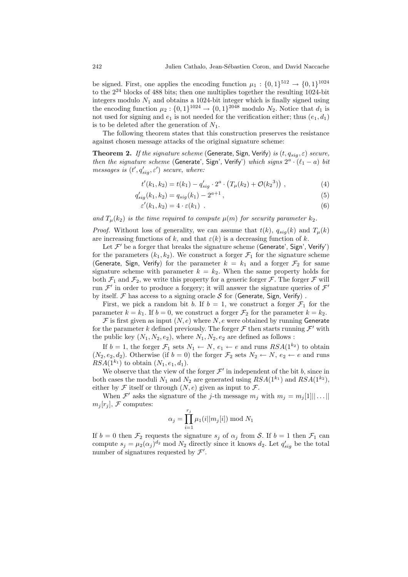be signed. First, one applies the encoding function  $\mu_1: \{0,1\}^{512} \to \{0,1\}^{1024}$ to the 2 <sup>24</sup> blocks of 488 bits; then one multiplies together the resulting 1024-bit integers modulo  $N_1$  and obtains a 1024-bit integer which is finally signed using the encoding function  $\mu_2: \{0,1\}^{1024} \to \{0,1\}^{2048}$  modulo  $N_2$ . Notice that  $d_1$  is not used for signing and  $e_1$  is not needed for the verification either; thus  $(e_1, d_1)$ is to be deleted after the generation of  $N_1$ .

The following theorem states that this construction preserves the resistance against chosen message attacks of the original signature scheme:

**Theorem 2.** If the signature scheme (Generate, Sign, Verify) is  $(t, q_{sig}, \varepsilon)$  secure, then the signature scheme (Generate', Sign', Verify') which signs  $2^a \cdot (\ell_1 - a)$  bit messages is  $(t', q'_{sig}, \varepsilon')$  secure, where:

$$
t'(k_1, k_2) = t(k_1) - q'_{sig} \cdot 2^a \cdot (T_\mu(k_2) + \mathcal{O}(k_2^3)), \qquad (4)
$$

$$
q'_{sig}(k_1, k_2) = q_{sig}(k_1) - 2^{a+1},
$$
\n(5)

$$
\varepsilon'(k_1, k_2) = 4 \cdot \varepsilon(k_1) \tag{6}
$$

and  $T_{\mu}(k_2)$  is the time required to compute  $\mu(m)$  for security parameter  $k_2$ .

*Proof.* Without loss of generality, we can assume that  $t(k)$ ,  $q_{siq}(k)$  and  $T_{\mu}(k)$ are increasing functions of k, and that  $\varepsilon(k)$  is a decreasing function of k.

Let  $\mathcal{F}'$  be a forger that breaks the signature scheme (Generate', Sign', Verify') for the parameters  $(k_1, k_2)$ . We construct a forger  $\mathcal{F}_1$  for the signature scheme (Generate, Sign, Verify) for the parameter  $k = k_1$  and a forger  $\mathcal{F}_2$  for same signature scheme with parameter  $k = k_2$ . When the same property holds for both  $\mathcal{F}_1$  and  $\mathcal{F}_2$ , we write this property for a generic forger  $\mathcal{F}$ . The forger  $\mathcal{F}$  will run  $\mathcal{F}'$  in order to produce a forgery; it will answer the signature queries of  $\mathcal{F}'$ by itself.  $\mathcal F$  has access to a signing oracle  $\mathcal S$  for (Generate, Sign, Verify).

First, we pick a random bit b. If  $b = 1$ , we construct a forger  $\mathcal{F}_1$  for the parameter  $k = k_1$ . If  $b = 0$ , we construct a forger  $\mathcal{F}_2$  for the parameter  $k = k_2$ .

 $\mathcal F$  is first given as input  $(N, e)$  where  $N, e$  were obtained by running Generate for the parameter k defined previously. The forger  $\mathcal F$  then starts running  $\mathcal F'$  with the public key  $(N_1, N_2, e_2)$ , where  $N_1, N_2, e_2$  are defined as follows:

If  $b = 1$ , the forger  $\mathcal{F}_1$  sets  $N_1 \leftarrow N$ ,  $e_1 \leftarrow e$  and runs  $RSA(1^{k_2})$  to obtain  $(N_2, e_2, d_2)$ . Otherwise (if  $b = 0$ ) the forger  $\mathcal{F}_2$  sets  $N_2 \leftarrow N$ ,  $e_2 \leftarrow e$  and runs  $RSA(1^{k_1})$  to obtain  $(N_1, e_1, d_1)$ .

We observe that the view of the forger  $\mathcal{F}'$  in independent of the bit b, since in both cases the moduli  $N_1$  and  $N_2$  are generated using  $RSA(1^{k_1})$  and  $RSA(1^{k_2})$ , either by  $\mathcal F$  itself or through  $(N, e)$  given as input to  $\mathcal F$ .

When  $\mathcal{F}'$  asks the signature of the *j*-th message  $m_j$  with  $m_j = m_j[1] \dots ||$  $m_i [r_i], \mathcal{F}$  computes:

$$
\alpha_j = \prod_{i=1}^{r_j} \mu_1(i||m_j[i]) \bmod N_1
$$

If  $b = 0$  then  $\mathcal{F}_2$  requests the signature  $s_j$  of  $\alpha_j$  from S. If  $b = 1$  then  $\mathcal{F}_1$  can compute  $s_j = \mu_2(\alpha_j)^{d_2}$  mod  $N_2$  directly since it knows  $d_2$ . Let  $q'_{sig}$  be the total number of signatures requested by  $\mathcal{F}'$ .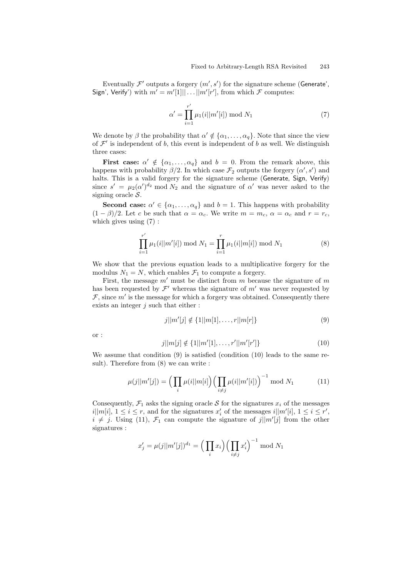Eventually  $\mathcal{F}'$  outputs a forgery  $(m', s')$  for the signature scheme (Generate', Sign', Verify') with  $m' = m'[1] || \dots || m'[r']$ , from which  $\mathcal F$  computes:

$$
\alpha' = \prod_{i=1}^{r'} \mu_1(i||m'[i]) \bmod N_1 \tag{7}
$$

We denote by  $\beta$  the probability that  $\alpha' \notin {\alpha_1, \ldots, \alpha_q}$ . Note that since the view of  $\mathcal{F}'$  is independent of b, this event is independent of b as well. We distinguish three cases:

First case:  $\alpha' \notin {\alpha_1, ..., \alpha_q}$  and  $b = 0$ . From the remark above, this happens with probability  $\beta/2$ . In which case  $\mathcal{F}_2$  outputs the forgery  $(\alpha', s')$  and halts. This is a valid forgery for the signature scheme (Generate, Sign, Verify) since  $s' = \mu_2(\alpha')^{d_2}$  mod  $N_2$  and the signature of  $\alpha'$  was never asked to the signing oracle  $S$ .

**Second case:**  $\alpha' \in \{\alpha_1, \dots, \alpha_q\}$  and  $b = 1$ . This happens with probability  $(1 - \beta)/2$ . Let c be such that  $\alpha = \alpha_c$ . We write  $m = m_c$ ,  $\alpha = \alpha_c$  and  $r = r_c$ , which gives using (7) :

$$
\prod_{i=1}^{r'} \mu_1(i||m'[i]) \bmod N_1 = \prod_{i=1}^{r} \mu_1(i||m[i]) \bmod N_1
$$
 (8)

We show that the previous equation leads to a multiplicative forgery for the modulus  $N_1 = N$ , which enables  $\mathcal{F}_1$  to compute a forgery.

First, the message  $m'$  must be distinct from  $m$  because the signature of  $m$ has been requested by  $\mathcal{F}'$  whereas the signature of  $m'$  was never requested by  $\mathcal{F}$ , since  $m'$  is the message for which a forgery was obtained. Consequently there exists an integer  $j$  such that either :

$$
j||m'[j] \notin \{1||m[1], \dots, r||m[r]\}
$$
\n(9)

or :

$$
j||m[j] \notin \{1||m'[1], \dots, r'||m'[r']\}
$$
\n(10)

We assume that condition (9) is satisfied (condition (10) leads to the same result). Therefore from (8) we can write :

$$
\mu(j||m'[j]) = \left(\prod_{i} \mu(i||m[i]) \left(\prod_{i \neq j} \mu(i||m'[i])\right)^{-1} \mod N_1\right)
$$
 (11)

Consequently,  $\mathcal{F}_1$  asks the signing oracle S for the signatures  $x_i$  of the messages  $i||m[i], 1 \leq i \leq r$ , and for the signatures  $x'_i$  of the messages  $i||m'[i], 1 \leq i \leq r'$ ,  $i \neq j$ . Using (11),  $\mathcal{F}_1$  can compute the signature of  $j||m'[j]$  from the other signatures :

$$
x'_{j} = \mu(j||m'[j])^{d_1} = \left(\prod_{i} x_i\right) \left(\prod_{i \neq j} x'_i\right)^{-1} \mod N_1
$$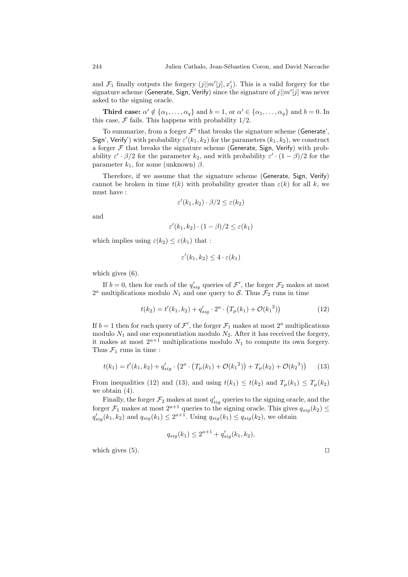and  $\mathcal{F}_1$  finally outputs the forgery  $(j||m'[j], x'_j)$ . This is a valid forgery for the signature scheme (Generate, Sign, Verify) since the signature of  $j||m'[j]$  was never asked to the signing oracle.

**Third case:**  $\alpha' \notin {\alpha_1, \ldots, \alpha_q}$  and  $b = 1$ , or  $\alpha' \in {\alpha_1, \ldots, \alpha_q}$  and  $b = 0$ . In this case,  $\mathcal F$  fails. This happens with probability 1/2.

To summarize, from a forger  $\mathcal{F}'$  that breaks the signature scheme (Generate', Sign', Verify') with probability  $\varepsilon'(k_1, k_2)$  for the parameters  $(k_1, k_2)$ , we construct a forger  $\mathcal F$  that breaks the signature scheme (Generate, Sign, Verify) with probability  $\varepsilon' \cdot \beta/2$  for the parameter  $k_2$ , and with probability  $\varepsilon' \cdot (1 - \beta)/2$  for the parameter  $k_1$ , for some (unknown)  $\beta$ .

Therefore, if we assume that the signature scheme (Generate, Sign, Verify) cannot be broken in time  $t(k)$  with probability greater than  $\varepsilon(k)$  for all k, we must have :

$$
\varepsilon'(k_1, k_2) \cdot \beta/2 \le \varepsilon(k_2)
$$

and

$$
\varepsilon'(k_1, k_2) \cdot (1 - \beta)/2 \le \varepsilon(k_1)
$$

which implies using  $\varepsilon(k_2) \leq \varepsilon(k_1)$  that :

$$
\varepsilon'(k_1, k_2) \le 4 \cdot \varepsilon(k_1)
$$

which gives  $(6)$ .

If  $b = 0$ , then for each of the  $q'_{sig}$  queries of  $\mathcal{F}'$ , the forger  $\mathcal{F}_2$  makes at most  $2^a$  multiplications modulo  $N_1$  and one query to S. Thus  $\mathcal{F}_2$  runs in time

$$
t(k_2) = t'(k_1, k_2) + q'_{sig} \cdot 2^a \cdot (T_\mu(k_1) + \mathcal{O}(k_1^2))
$$
\n(12)

If  $b = 1$  then for each query of  $\mathcal{F}'$ , the forger  $\mathcal{F}_1$  makes at most  $2^a$  multiplications modulo  $N_1$  and one exponentiation modulo  $N_2$ . After it has received the forgery, it makes at most  $2^{a+1}$  multiplications modulo  $N_1$  to compute its own forgery. Thus  $\mathcal{F}_1$  runs in time :

$$
t(k_1) = t'(k_1, k_2) + q'_{sig} \cdot (2^a \cdot (T_\mu(k_1) + \mathcal{O}(k_1^2)) + T_\mu(k_2) + \mathcal{O}(k_2^3)) \tag{13}
$$

From inequalities (12) and (13), and using  $t(k_1) \leq t(k_2)$  and  $T_\mu(k_1) \leq T_\mu(k_2)$ we obtain (4).

Finally, the forger  $\mathcal{F}_2$  makes at most  $q'_{sig}$  queries to the signing oracle, and the forger  $\mathcal{F}_1$  makes at most  $2^{a+1}$  queries to the signing oracle. This gives  $q_{sig}(k_2) \leq$  $q'_{sig}(k_1, k_2)$  and  $q_{sig}(k_1) \leq 2^{a+1}$ . Using  $q_{sig}(k_1) \leq q_{sig}(k_2)$ , we obtain

$$
q_{sig}(k_1) \le 2^{a+1} + q'_{sig}(k_1, k_2),
$$

which gives  $(5)$ .